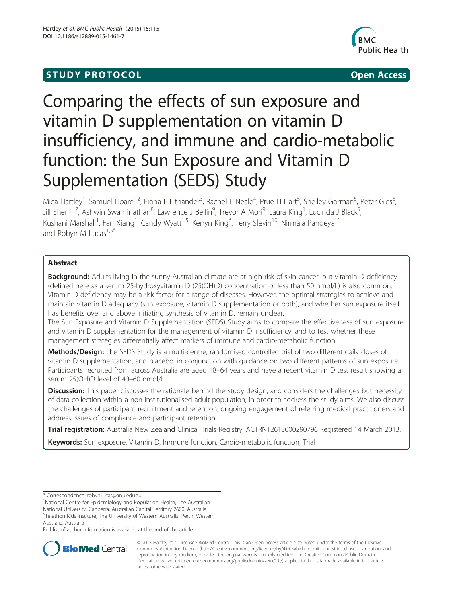## **STUDY PROTOCOL CONSUMING THE STUDY PROTOCOL**



# Comparing the effects of sun exposure and vitamin D supplementation on vitamin D insufficiency, and immune and cardio-metabolic function: the Sun Exposure and Vitamin D Supplementation (SEDS) Study

Mica Hartley<sup>1</sup>, Samuel Hoare<sup>1,2</sup>, Fiona E Lithander<sup>3</sup>, Rachel E Neale<sup>4</sup>, Prue H Hart<sup>5</sup>, Shelley Gorman<sup>5</sup>, Peter Gies<sup>6</sup> , Jill Sherriff<sup>7</sup>, Ashwin Swaminathan<sup>8</sup>, Lawrence J Beilin<sup>9</sup>, Trevor A Mori<sup>9</sup>, Laura King<sup>1</sup>, Lucinda J Black<sup>5</sup> , Kushani Marshall<sup>1</sup>, Fan Xiang<sup>1</sup>, Candy Wyatt<sup>1,5</sup>, Kerryn King<sup>6</sup>, Terry Slevin<sup>10</sup>, Nirmala Pandeya<sup>11</sup> and Robyn M Lucas<sup>1,5\*</sup>

## Abstract

Background: Adults living in the sunny Australian climate are at high risk of skin cancer, but vitamin D deficiency (defined here as a serum 25-hydroxyvitamin D (25(OH)D) concentration of less than 50 nmol/L) is also common. Vitamin D deficiency may be a risk factor for a range of diseases. However, the optimal strategies to achieve and maintain vitamin D adequacy (sun exposure, vitamin D supplementation or both), and whether sun exposure itself has benefits over and above initiating synthesis of vitamin D, remain unclear.

The Sun Exposure and Vitamin D Supplementation (SEDS) Study aims to compare the effectiveness of sun exposure and vitamin D supplementation for the management of vitamin D insufficiency, and to test whether these management strategies differentially affect markers of immune and cardio-metabolic function.

Methods/Design: The SEDS Study is a multi-centre, randomised controlled trial of two different daily doses of vitamin D supplementation, and placebo, in conjunction with guidance on two different patterns of sun exposure. Participants recruited from across Australia are aged 18–64 years and have a recent vitamin D test result showing a serum 25(OH)D level of 40–60 nmol/L.

**Discussion:** This paper discusses the rationale behind the study design, and considers the challenges but necessity of data collection within a non-institutionalised adult population, in order to address the study aims. We also discuss the challenges of participant recruitment and retention, ongoing engagement of referring medical practitioners and address issues of compliance and participant retention.

Trial registration: Australia New Zealand Clinical Trials Registry: [ACTRN12613000290796](https://www.anzctr.org.au/Trial/Registration/TrialReview.aspx?id=363847) Registered 14 March 2013.

Keywords: Sun exposure, Vitamin D, Immune function, Cardio-metabolic function, Trial

<sup>1</sup>National Centre for Epidemiology and Population Health, The Australian

National University, Canberra, Australian Capital Territory 2600, Australia

5 Telethon Kids Institute, The University of Western Australia, Perth, Western Australia, Australia

Full list of author information is available at the end of the article



© 2015 Hartley et al.; licensee BioMed Central. This is an Open Access article distributed under the terms of the Creative Commons Attribution License [\(http://creativecommons.org/licenses/by/4.0\)](http://creativecommons.org/licenses/by/4.0), which permits unrestricted use, distribution, and reproduction in any medium, provided the original work is properly credited. The Creative Commons Public Domain Dedication waiver [\(http://creativecommons.org/publicdomain/zero/1.0/](http://creativecommons.org/publicdomain/zero/1.0/)) applies to the data made available in this article, unless otherwise stated.

<sup>\*</sup> Correspondence: [robyn.lucas@anu.edu.au](mailto:robyn.lucas@anu.edu.au) <sup>1</sup>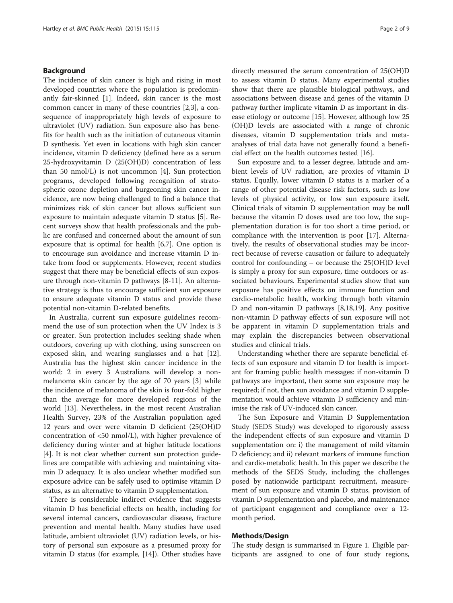#### Background

The incidence of skin cancer is high and rising in most developed countries where the population is predominantly fair-skinned [\[1](#page-7-0)]. Indeed, skin cancer is the most common cancer in many of these countries [[2,3\]](#page-7-0), a consequence of inappropriately high levels of exposure to ultraviolet (UV) radiation. Sun exposure also has benefits for health such as the initiation of cutaneous vitamin D synthesis. Yet even in locations with high skin cancer incidence, vitamin D deficiency (defined here as a serum 25-hydroxyvitamin D (25(OH)D) concentration of less than 50 nmol/L) is not uncommon [[4\]](#page-7-0). Sun protection programs, developed following recognition of stratospheric ozone depletion and burgeoning skin cancer incidence, are now being challenged to find a balance that minimizes risk of skin cancer but allows sufficient sun exposure to maintain adequate vitamin D status [[5\]](#page-7-0). Recent surveys show that health professionals and the public are confused and concerned about the amount of sun exposure that is optimal for health [[6,7\]](#page-7-0). One option is to encourage sun avoidance and increase vitamin D intake from food or supplements. However, recent studies suggest that there may be beneficial effects of sun exposure through non-vitamin D pathways [[8-11\]](#page-7-0). An alternative strategy is thus to encourage sufficient sun exposure to ensure adequate vitamin D status and provide these potential non-vitamin D-related benefits.

In Australia, current sun exposure guidelines recommend the use of sun protection when the UV Index is 3 or greater. Sun protection includes seeking shade when outdoors, covering up with clothing, using sunscreen on exposed skin, and wearing sunglasses and a hat [\[12](#page-7-0)]. Australia has the highest skin cancer incidence in the world: 2 in every 3 Australians will develop a nonmelanoma skin cancer by the age of 70 years [[3\]](#page-7-0) while the incidence of melanoma of the skin is four-fold higher than the average for more developed regions of the world [\[13](#page-7-0)]. Nevertheless, in the most recent Australian Health Survey, 23% of the Australian population aged 12 years and over were vitamin D deficient (25(OH)D concentration of <50 nmol/L), with higher prevalence of deficiency during winter and at higher latitude locations [[4\]](#page-7-0). It is not clear whether current sun protection guidelines are compatible with achieving and maintaining vitamin D adequacy. It is also unclear whether modified sun exposure advice can be safely used to optimise vitamin D status, as an alternative to vitamin D supplementation.

There is considerable indirect evidence that suggests vitamin D has beneficial effects on health, including for several internal cancers, cardiovascular disease, fracture prevention and mental health. Many studies have used latitude, ambient ultraviolet (UV) radiation levels, or history of personal sun exposure as a presumed proxy for vitamin D status (for example, [\[14](#page-7-0)]). Other studies have directly measured the serum concentration of 25(OH)D to assess vitamin D status. Many experimental studies show that there are plausible biological pathways, and associations between disease and genes of the vitamin D pathway further implicate vitamin D as important in disease etiology or outcome [\[15](#page-7-0)]. However, although low 25 (OH)D levels are associated with a range of chronic diseases, vitamin D supplementation trials and metaanalyses of trial data have not generally found a beneficial effect on the health outcomes tested [[16\]](#page-7-0).

Sun exposure and, to a lesser degree, latitude and ambient levels of UV radiation, are proxies of vitamin D status. Equally, lower vitamin D status is a marker of a range of other potential disease risk factors, such as low levels of physical activity, or low sun exposure itself. Clinical trials of vitamin D supplementation may be null because the vitamin D doses used are too low, the supplementation duration is for too short a time period, or compliance with the intervention is poor [\[17](#page-7-0)]. Alternatively, the results of observational studies may be incorrect because of reverse causation or failure to adequately control for confounding – or because the 25(OH)D level is simply a proxy for sun exposure, time outdoors or associated behaviours. Experimental studies show that sun exposure has positive effects on immune function and cardio-metabolic health, working through both vitamin D and non-vitamin D pathways [\[8](#page-7-0),[18,19](#page-7-0)]. Any positive non-vitamin D pathway effects of sun exposure will not be apparent in vitamin D supplementation trials and may explain the discrepancies between observational studies and clinical trials.

Understanding whether there are separate beneficial effects of sun exposure and vitamin D for health is important for framing public health messages: if non-vitamin D pathways are important, then some sun exposure may be required; if not, then sun avoidance and vitamin D supplementation would achieve vitamin D sufficiency and minimise the risk of UV-induced skin cancer.

The Sun Exposure and Vitamin D Supplementation Study (SEDS Study) was developed to rigorously assess the independent effects of sun exposure and vitamin D supplementation on: i) the management of mild vitamin D deficiency; and ii) relevant markers of immune function and cardio-metabolic health. In this paper we describe the methods of the SEDS Study, including the challenges posed by nationwide participant recruitment, measurement of sun exposure and vitamin D status, provision of vitamin D supplementation and placebo, and maintenance of participant engagement and compliance over a 12 month period.

#### Methods/Design

The study design is summarised in Figure [1](#page-2-0). Eligible participants are assigned to one of four study regions,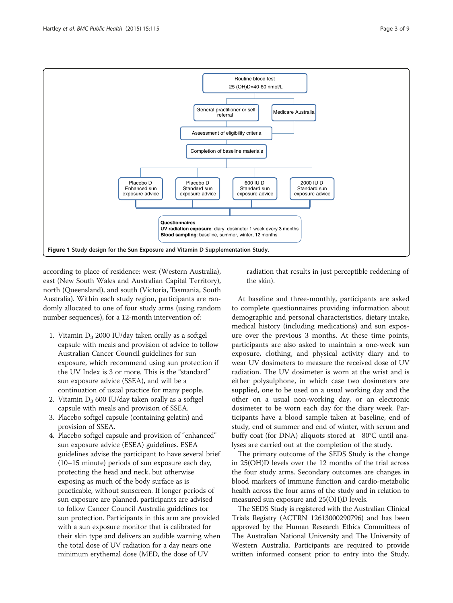

<span id="page-2-0"></span>

according to place of residence: west (Western Australia), east (New South Wales and Australian Capital Territory), north (Queensland), and south (Victoria, Tasmania, South Australia). Within each study region, participants are randomly allocated to one of four study arms (using random number sequences), for a 12-month intervention of:

- 1. Vitamin  $D_3$  2000 IU/day taken orally as a softgel capsule with meals and provision of advice to follow Australian Cancer Council guidelines for sun exposure, which recommend using sun protection if the UV Index is 3 or more. This is the "standard" sun exposure advice (SSEA), and will be a continuation of usual practice for many people.
- 2. Vitamin  $D_3$  600 IU/day taken orally as a softgel capsule with meals and provision of SSEA.
- 3. Placebo softgel capsule (containing gelatin) and provision of SSEA.
- 4. Placebo softgel capsule and provision of "enhanced" sun exposure advice (ESEA) guidelines. ESEA guidelines advise the participant to have several brief (10–15 minute) periods of sun exposure each day, protecting the head and neck, but otherwise exposing as much of the body surface as is practicable, without sunscreen. If longer periods of sun exposure are planned, participants are advised to follow Cancer Council Australia guidelines for sun protection. Participants in this arm are provided with a sun exposure monitor that is calibrated for their skin type and delivers an audible warning when the total dose of UV radiation for a day nears one minimum erythemal dose (MED, the dose of UV

radiation that results in just perceptible reddening of the skin).

At baseline and three-monthly, participants are asked to complete questionnaires providing information about demographic and personal characteristics, dietary intake, medical history (including medications) and sun exposure over the previous 3 months. At these time points, participants are also asked to maintain a one-week sun exposure, clothing, and physical activity diary and to wear UV dosimeters to measure the received dose of UV radiation. The UV dosimeter is worn at the wrist and is either polysulphone, in which case two dosimeters are supplied, one to be used on a usual working day and the other on a usual non-working day, or an electronic dosimeter to be worn each day for the diary week. Participants have a blood sample taken at baseline, end of study, end of summer and end of winter, with serum and buffy coat (for DNA) aliquots stored at −80°C until analyses are carried out at the completion of the study.

The primary outcome of the SEDS Study is the change in 25(OH)D levels over the 12 months of the trial across the four study arms. Secondary outcomes are changes in blood markers of immune function and cardio-metabolic health across the four arms of the study and in relation to measured sun exposure and 25(OH)D levels.

The SEDS Study is registered with the Australian Clinical Trials Registry (ACTRN 12613000290796) and has been approved by the Human Research Ethics Committees of The Australian National University and The University of Western Australia. Participants are required to provide written informed consent prior to entry into the Study.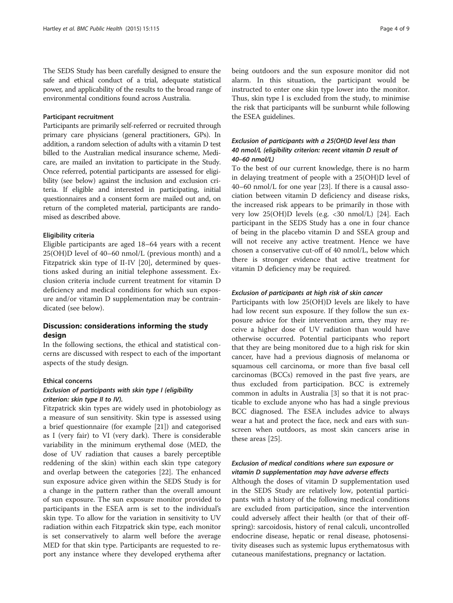The SEDS Study has been carefully designed to ensure the safe and ethical conduct of a trial, adequate statistical power, and applicability of the results to the broad range of environmental conditions found across Australia.

#### Participant recruitment

Participants are primarily self-referred or recruited through primary care physicians (general practitioners, GPs). In addition, a random selection of adults with a vitamin D test billed to the Australian medical insurance scheme, Medicare, are mailed an invitation to participate in the Study. Once referred, potential participants are assessed for eligibility (see below) against the inclusion and exclusion criteria. If eligible and interested in participating, initial questionnaires and a consent form are mailed out and, on return of the completed material, participants are randomised as described above.

## Eligibility criteria

Eligible participants are aged 18–64 years with a recent 25(OH)D level of 40–60 nmol/L (previous month) and a Fitzpatrick skin type of II-IV [\[20\]](#page-7-0), determined by questions asked during an initial telephone assessment. Exclusion criteria include current treatment for vitamin D deficiency and medical conditions for which sun exposure and/or vitamin D supplementation may be contraindicated (see below).

## Discussion: considerations informing the study desian

In the following sections, the ethical and statistical concerns are discussed with respect to each of the important aspects of the study design.

#### Ethical concerns

## Exclusion of participants with skin type I (eligibility criterion: skin type II to IV).

Fitzpatrick skin types are widely used in photobiology as a measure of sun sensitivity. Skin type is assessed using a brief questionnaire (for example [[21\]](#page-7-0)) and categorised as I (very fair) to VI (very dark). There is considerable variability in the minimum erythemal dose (MED, the dose of UV radiation that causes a barely perceptible reddening of the skin) within each skin type category and overlap between the categories [\[22](#page-7-0)]. The enhanced sun exposure advice given within the SEDS Study is for a change in the pattern rather than the overall amount of sun exposure. The sun exposure monitor provided to participants in the ESEA arm is set to the individual's skin type. To allow for the variation in sensitivity to UV radiation within each Fitzpatrick skin type, each monitor is set conservatively to alarm well before the average MED for that skin type. Participants are requested to report any instance where they developed erythema after being outdoors and the sun exposure monitor did not alarm. In this situation, the participant would be instructed to enter one skin type lower into the monitor. Thus, skin type I is excluded from the study, to minimise the risk that participants will be sunburnt while following the ESEA guidelines.

## Exclusion of participants with a 25(OH)D level less than 40 nmol/L (eligibility criterion: recent vitamin D result of 40–60 nmol/L)

To the best of our current knowledge, there is no harm in delaying treatment of people with a 25(OH)D level of 40–60 nmol/L for one year [\[23](#page-7-0)]. If there is a causal association between vitamin D deficiency and disease risks, the increased risk appears to be primarily in those with very low 25(OH)D levels (e.g. <30 nmol/L) [[24\]](#page-7-0). Each participant in the SEDS Study has a one in four chance of being in the placebo vitamin D and SSEA group and will not receive any active treatment. Hence we have chosen a conservative cut-off of 40 nmol/L, below which there is stronger evidence that active treatment for vitamin D deficiency may be required.

#### Exclusion of participants at high risk of skin cancer

Participants with low 25(OH)D levels are likely to have had low recent sun exposure. If they follow the sun exposure advice for their intervention arm, they may receive a higher dose of UV radiation than would have otherwise occurred. Potential participants who report that they are being monitored due to a high risk for skin cancer, have had a previous diagnosis of melanoma or squamous cell carcinoma, or more than five basal cell carcinomas (BCCs) removed in the past five years, are thus excluded from participation. BCC is extremely common in adults in Australia [\[3](#page-7-0)] so that it is not practicable to exclude anyone who has had a single previous BCC diagnosed. The ESEA includes advice to always wear a hat and protect the face, neck and ears with sunscreen when outdoors, as most skin cancers arise in these areas [[25](#page-7-0)].

## Exclusion of medical conditions where sun exposure or vitamin D supplementation may have adverse effects

Although the doses of vitamin D supplementation used in the SEDS Study are relatively low, potential participants with a history of the following medical conditions are excluded from participation, since the intervention could adversely affect their health (or that of their offspring): sarcoidosis, history of renal calculi, uncontrolled endocrine disease, hepatic or renal disease, photosensitivity diseases such as systemic lupus erythematosus with cutaneous manifestations, pregnancy or lactation.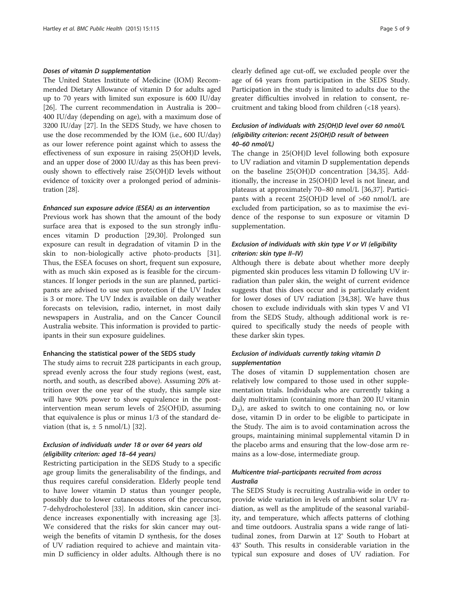#### Doses of vitamin D supplementation

The United States Institute of Medicine (IOM) Recommended Dietary Allowance of vitamin D for adults aged up to 70 years with limited sun exposure is 600 IU/day [[26](#page-7-0)]. The current recommendation in Australia is 200– 400 IU/day (depending on age), with a maximum dose of 3200 IU/day [[27](#page-7-0)]. In the SEDS Study, we have chosen to use the dose recommended by the IOM (i.e., 600 IU/day) as our lower reference point against which to assess the effectiveness of sun exposure in raising 25(OH)D levels, and an upper dose of 2000 IU/day as this has been previously shown to effectively raise 25(OH)D levels without evidence of toxicity over a prolonged period of administration [\[28\]](#page-7-0).

## Enhanced sun exposure advice (ESEA) as an intervention

Previous work has shown that the amount of the body surface area that is exposed to the sun strongly influences vitamin D production [\[29,30](#page-7-0)]. Prolonged sun exposure can result in degradation of vitamin D in the skin to non-biologically active photo-products [\[31](#page-7-0)]. Thus, the ESEA focuses on short, frequent sun exposure, with as much skin exposed as is feasible for the circumstances. If longer periods in the sun are planned, participants are advised to use sun protection if the UV Index is 3 or more. The UV Index is available on daily weather forecasts on television, radio, internet, in most daily newspapers in Australia, and on the Cancer Council Australia website. This information is provided to participants in their sun exposure guidelines.

## Enhancing the statistical power of the SEDS study

The study aims to recruit 228 participants in each group, spread evenly across the four study regions (west, east, north, and south, as described above). Assuming 20% attrition over the one year of the study, this sample size will have 90% power to show equivalence in the postintervention mean serum levels of 25(OH)D, assuming that equivalence is plus or minus 1/3 of the standard deviation (that is,  $\pm$  5 nmol/L) [\[32](#page-8-0)].

## Exclusion of individuals under 18 or over 64 years old (eligibility criterion: aged 18–64 years)

Restricting participation in the SEDS Study to a specific age group limits the generalisability of the findings, and thus requires careful consideration. Elderly people tend to have lower vitamin D status than younger people, possibly due to lower cutaneous stores of the precursor, 7-dehydrocholesterol [[33\]](#page-8-0). In addition, skin cancer incidence increases exponentially with increasing age [\[3](#page-7-0)]. We considered that the risks for skin cancer may outweigh the benefits of vitamin D synthesis, for the doses of UV radiation required to achieve and maintain vitamin D sufficiency in older adults. Although there is no clearly defined age cut-off, we excluded people over the age of 64 years from participation in the SEDS Study. Participation in the study is limited to adults due to the greater difficulties involved in relation to consent, recruitment and taking blood from children (<18 years).

## Exclusion of individuals with 25(OH)D level over 60 nmol/L (eligibility criterion: recent 25(OH)D result of between 40–60 nmol/L)

The change in 25(OH)D level following both exposure to UV radiation and vitamin D supplementation depends on the baseline 25(OH)D concentration [\[34,35](#page-8-0)]. Additionally, the increase in 25(OH)D level is not linear, and plateaus at approximately 70–80 nmol/L [\[36,37](#page-8-0)]. Participants with a recent 25(OH)D level of >60 nmol/L are excluded from participation, so as to maximise the evidence of the response to sun exposure or vitamin D supplementation.

## Exclusion of individuals with skin type V or VI (eligibility criterion: skin type II–IV)

Although there is debate about whether more deeply pigmented skin produces less vitamin D following UV irradiation than paler skin, the weight of current evidence suggests that this does occur and is particularly evident for lower doses of UV radiation [\[34,38](#page-8-0)]. We have thus chosen to exclude individuals with skin types V and VI from the SEDS Study, although additional work is required to specifically study the needs of people with these darker skin types.

## Exclusion of individuals currently taking vitamin D supplementation

The doses of vitamin D supplementation chosen are relatively low compared to those used in other supplementation trials. Individuals who are currently taking a daily multivitamin (containing more than 200 IU vitamin D3), are asked to switch to one containing no, or low dose, vitamin D in order to be eligible to participate in the Study. The aim is to avoid contamination across the groups, maintaining minimal supplemental vitamin D in the placebo arms and ensuring that the low-dose arm remains as a low-dose, intermediate group.

## Multicentre trial–participants recruited from across Australia

The SEDS Study is recruiting Australia-wide in order to provide wide variation in levels of ambient solar UV radiation, as well as the amplitude of the seasonal variability, and temperature, which affects patterns of clothing and time outdoors. Australia spans a wide range of latitudinal zones, from Darwin at 12° South to Hobart at 43° South. This results in considerable variation in the typical sun exposure and doses of UV radiation. For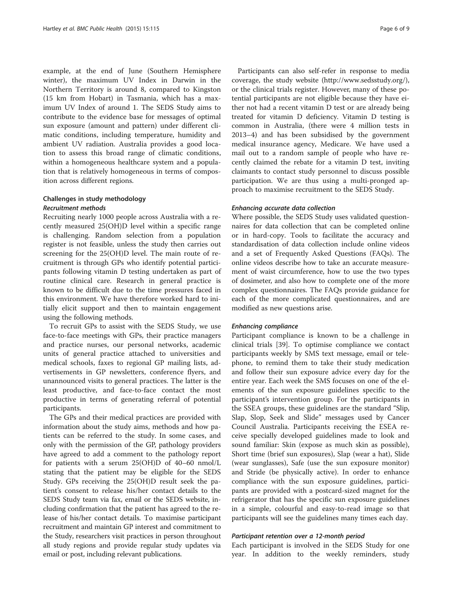example, at the end of June (Southern Hemisphere winter), the maximum UV Index in Darwin in the Northern Territory is around 8, compared to Kingston (15 km from Hobart) in Tasmania, which has a maximum UV Index of around 1. The SEDS Study aims to contribute to the evidence base for messages of optimal sun exposure (amount and pattern) under different climatic conditions, including temperature, humidity and ambient UV radiation. Australia provides a good location to assess this broad range of climatic conditions, within a homogeneous healthcare system and a population that is relatively homogeneous in terms of composition across different regions.

## Challenges in study methodology Recruitment methods

Recruiting nearly 1000 people across Australia with a recently measured 25(OH)D level within a specific range is challenging. Random selection from a population register is not feasible, unless the study then carries out screening for the 25(OH)D level. The main route of recruitment is through GPs who identify potential participants following vitamin D testing undertaken as part of routine clinical care. Research in general practice is known to be difficult due to the time pressures faced in this environment. We have therefore worked hard to initially elicit support and then to maintain engagement using the following methods.

To recruit GPs to assist with the SEDS Study, we use face-to-face meetings with GPs, their practice managers and practice nurses, our personal networks, academic units of general practice attached to universities and medical schools, faxes to regional GP mailing lists, advertisements in GP newsletters, conference flyers, and unannounced visits to general practices. The latter is the least productive, and face-to-face contact the most productive in terms of generating referral of potential participants.

The GPs and their medical practices are provided with information about the study aims, methods and how patients can be referred to the study. In some cases, and only with the permission of the GP, pathology providers have agreed to add a comment to the pathology report for patients with a serum 25(OH)D of 40–60 nmol/L stating that the patient may be eligible for the SEDS Study. GPs receiving the 25(OH)D result seek the patient's consent to release his/her contact details to the SEDS Study team via fax, email or the SEDS website, including confirmation that the patient has agreed to the release of his/her contact details. To maximise participant recruitment and maintain GP interest and commitment to the Study, researchers visit practices in person throughout all study regions and provide regular study updates via email or post, including relevant publications.

Participants can also self-refer in response to media coverage, the study website [\(http://www.sedsstudy.org/](http://www.sedsstudy.org/)), or the clinical trials register. However, many of these potential participants are not eligible because they have either not had a recent vitamin D test or are already being treated for vitamin D deficiency. Vitamin D testing is common in Australia, (there were 4 million tests in 2013–4) and has been subsidised by the government medical insurance agency, Medicare. We have used a mail out to a random sample of people who have recently claimed the rebate for a vitamin D test, inviting claimants to contact study personnel to discuss possible participation. We are thus using a multi-pronged approach to maximise recruitment to the SEDS Study.

#### Enhancing accurate data collection

Where possible, the SEDS Study uses validated questionnaires for data collection that can be completed online or in hard-copy. Tools to facilitate the accuracy and standardisation of data collection include online videos and a set of Frequently Asked Questions (FAQs). The online videos describe how to take an accurate measurement of waist circumference, how to use the two types of dosimeter, and also how to complete one of the more complex questionnaires. The FAQs provide guidance for each of the more complicated questionnaires, and are modified as new questions arise.

#### Enhancing compliance

Participant compliance is known to be a challenge in clinical trials [[39\]](#page-8-0). To optimise compliance we contact participants weekly by SMS text message, email or telephone, to remind them to take their study medication and follow their sun exposure advice every day for the entire year. Each week the SMS focuses on one of the elements of the sun exposure guidelines specific to the participant's intervention group. For the participants in the SSEA groups, these guidelines are the standard "Slip, Slap, Slop, Seek and Slide" messages used by Cancer Council Australia. Participants receiving the ESEA receive specially developed guidelines made to look and sound familiar: Skin (expose as much skin as possible), Short time (brief sun exposures), Slap (wear a hat), Slide (wear sunglasses), Safe (use the sun exposure monitor) and Stride (be physically active). In order to enhance compliance with the sun exposure guidelines, participants are provided with a postcard-sized magnet for the refrigerator that has the specific sun exposure guidelines in a simple, colourful and easy-to-read image so that participants will see the guidelines many times each day.

#### Participant retention over a 12-month period

Each participant is involved in the SEDS Study for one year. In addition to the weekly reminders, study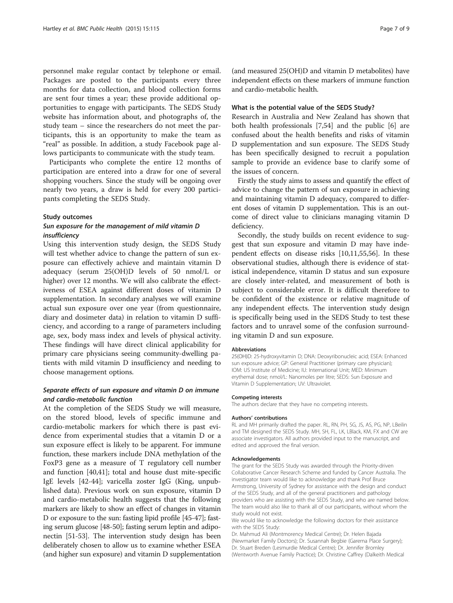personnel make regular contact by telephone or email. Packages are posted to the participants every three months for data collection, and blood collection forms are sent four times a year; these provide additional opportunities to engage with participants. The SEDS Study website has information about, and photographs of, the study team – since the researchers do not meet the participants, this is an opportunity to make the team as "real" as possible. In addition, a study Facebook page allows participants to communicate with the study team.

Participants who complete the entire 12 months of participation are entered into a draw for one of several shopping vouchers. Since the study will be ongoing over nearly two years, a draw is held for every 200 participants completing the SEDS Study.

#### Study outcomes

## Sun exposure for the management of mild vitamin D insufficiency

Using this intervention study design, the SEDS Study will test whether advice to change the pattern of sun exposure can effectively achieve and maintain vitamin D adequacy (serum 25(OH)D levels of 50 nmol/L or higher) over 12 months. We will also calibrate the effectiveness of ESEA against different doses of vitamin D supplementation. In secondary analyses we will examine actual sun exposure over one year (from questionnaire, diary and dosimeter data) in relation to vitamin D sufficiency, and according to a range of parameters including age, sex, body mass index and levels of physical activity. These findings will have direct clinical applicability for primary care physicians seeing community-dwelling patients with mild vitamin D insufficiency and needing to choose management options.

## Separate effects of sun exposure and vitamin D on immune and cardio-metabolic function

At the completion of the SEDS Study we will measure, on the stored blood, levels of specific immune and cardio-metabolic markers for which there is past evidence from experimental studies that a vitamin D or a sun exposure effect is likely to be apparent. For immune function, these markers include DNA methylation of the FoxP3 gene as a measure of T regulatory cell number and function [[40,41\]](#page-8-0); total and house dust mite-specific IgE levels [[42-44\]](#page-8-0); varicella zoster IgG (King, unpublished data). Previous work on sun exposure, vitamin D and cardio-metabolic health suggests that the following markers are likely to show an effect of changes in vitamin D or exposure to the sun: fasting lipid profile [[45](#page-8-0)-[47](#page-8-0)]; fasting serum glucose [[48](#page-8-0)-[50\]](#page-8-0); fasting serum leptin and adiponectin [[51](#page-8-0)-[53](#page-8-0)]. The intervention study design has been deliberately chosen to allow us to examine whether ESEA (and higher sun exposure) and vitamin D supplementation

(and measured 25(OH)D and vitamin D metabolites) have independent effects on these markers of immune function and cardio-metabolic health.

## What is the potential value of the SEDS Study?

Research in Australia and New Zealand has shown that both health professionals [\[7](#page-7-0)[,54](#page-8-0)] and the public [\[6](#page-7-0)] are confused about the health benefits and risks of vitamin D supplementation and sun exposure. The SEDS Study has been specifically designed to recruit a population sample to provide an evidence base to clarify some of the issues of concern.

Firstly the study aims to assess and quantify the effect of advice to change the pattern of sun exposure in achieving and maintaining vitamin D adequacy, compared to different doses of vitamin D supplementation. This is an outcome of direct value to clinicians managing vitamin D deficiency.

Secondly, the study builds on recent evidence to suggest that sun exposure and vitamin D may have independent effects on disease risks [\[10,11](#page-7-0)[,55,56](#page-8-0)]. In these observational studies, although there is evidence of statistical independence, vitamin D status and sun exposure are closely inter-related, and measurement of both is subject to considerable error. It is difficult therefore to be confident of the existence or relative magnitude of any independent effects. The intervention study design is specifically being used in the SEDS Study to test these factors and to unravel some of the confusion surrounding vitamin D and sun exposure.

#### Abbreviations

25(OH)D: 25-hydroxyvitamin D; DNA: Deoxyribonucleic acid; ESEA: Enhanced sun exposure advice; GP: General Practitioner (primary care physician); IOM: US Institute of Medicine; IU: International Unit; MED: Minimum erythemal dose; nmol/L: Nanomoles per litre; SEDS: Sun Exposure and Vitamin D Supplementation; UV: Ultraviolet.

#### Competing interests

The authors declare that they have no competing interests.

#### Authors' contributions

RL and MH primarily drafted the paper. RL, RN, PH, SG, JS, AS, PG, NP, LBeilin and TM designed the SEDS Study. MH, SH, FL, LK, LBlack, KM, FX and CW are associate investigators. All authors provided input to the manuscript, and edited and approved the final version.

#### Acknowledgements

The grant for the SEDS Study was awarded through the Priority-driven Collaborative Cancer Research Scheme and funded by Cancer Australia. The investigator team would like to acknowledge and thank Prof Bruce Armstrong, University of Sydney for assistance with the design and conduct of the SEDS Study, and all of the general practitioners and pathology providers who are assisting with the SEDS Study, and who are named below. The team would also like to thank all of our participants, without whom the study would not exist.

We would like to acknowledge the following doctors for their assistance with the SEDS Study:

Dr. Mahmud Ali (Montmorency Medical Centre); Dr. Helen Bajada (Newmarket Family Doctors); Dr. Susannah Begbie (Garema Place Surgery); Dr. Stuart Breden (Lesmurdie Medical Centre); Dr. Jennifer Bromley (Wentworth Avenue Family Practice); Dr. Christine Caffrey (Dalkeith Medical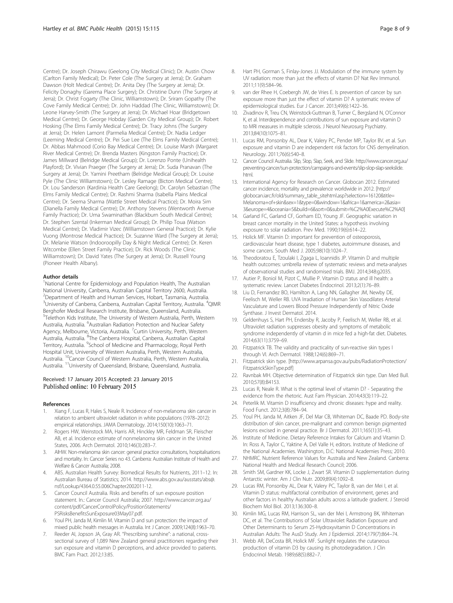<span id="page-7-0"></span>Centre); Dr. Joseph Chirawu (Geelong City Medical Clinic); Dr. Austin Chow (Carlton Family Medical); Dr. Peter Cole (The Surgery at Jerra); Dr. Graham Dawson (Holt Medical Centre); Dr. Anita Dey (The Surgery at Jerra); Dr. Felicity Donaghy (Garema Place Surgery); Dr. Christine Dunn (The Surgery at Jerra); Dr. Christ Fogarty (The Clinic, Williamstown); Dr. Sriram Gopathy (The Cove Family Medical Centre); Dr. John Haddad (The Clinic, Williamstown); Dr. Leone Harvey-Smith (The Surgery at Jerra); Dr. Michael Hoar (Bridgetown Medical Centre); Dr. George Hobday (Garden City Medical Group); Dr. Robert Hosking (The Elms Family Medical Centre); Dr. Tracy Johns (The Surgery at Jerra); Dr. Helen Lamont (Parmelia Medical Centre); Dr. Nadia Ledger (Leeming Medical Centre); Dr. Pei Sue Lee (The Elms Family Medical Centre); Dr. Abbas Mahmood (Corio Bay Medical Centre); Dr. Louise Marsh (Margaret River Medical Centre); Dr. Brenda Masters (Kingston Family Practice); Dr. James Millward (Belridge Medical Group); Dr. Lorenzo Ponte (Unihealth Playford); Dr. Vivian Praeger (The Surgery at Jerra); Dr. Suda Pranavan (The Surgery at Jerra); Dr. Yamini Preetham (Belridge Medical Group); Dr. Louise Pyle (The Clinic Williamstown); Dr. Lesley Ramage (Bicton Medical Centre); Dr. Lou Sanderson (Kardinia Health Care Geelong); Dr. Carolyn Sebastian (The Elms Family Medical Centre); Dr. Rashmi Sharma (Isabella Plains Medical Centre); Dr. Seema Sharma (Wattle Street Medical Practice); Dr. Moira Sim (Dianella Family Medical Centre); Dr. Anthony Stevens (Wentworth Avenue Family Practice); Dr. Uma Swaminathan (Blackburn South Medical Centre); Dr. Stephen Szental (Inkerman Medical Group); Dr. Philip Toua (Watson Medical Centre); Dr. Vladimir Vizec (Williamstown General Practice); Dr. Kylie Vuong (Montrose Medical Practice); Dr. Suzanne Ward (The Surgery at Jerra); Dr. Melanie Watson (Indooroopilly Day & Night Medical Centre); Dr. Keren Witcombe (Ellen Street Family Practice); Dr. Rick Woods (The Clinic Williamstown); Dr. David Yates (The Surgery at Jerra); Dr. Russell Young (Pioneer Health Albany).

#### Author details

<sup>1</sup>National Centre for Epidemiology and Population Health, The Australian National University, Canberra, Australian Capital Territory 2600, Australia. 2 Department of Health and Human Services, Hobart, Tasmania, Australia. <sup>3</sup>University of Canberra, Canberra, Australian Capital Territory, Australia. <sup>4</sup>QIMR Berghofer Medical Research Institute, Brisbane, Queensland, Australia. 5 Telethon Kids Institute, The University of Western Australia, Perth, Western Australia, Australia. <sup>6</sup>Australian Radiation Protection and Nuclear Safety Agency, Melbourne, Victoria, Australia. <sup>7</sup>Curtin University, Perth, Western Australia, Australia. <sup>8</sup>The Canberra Hospital, Canberra, Australian Capital Territory, Australia. <sup>9</sup>School of Medicine and Pharmacology, Royal Perth Hospital Unit, University of Western Australia, Perth, Western Australia, Australia. 10Cancer Council of Western Australia, Perth, Western Australia, Australia. 11University of Queensland, Brisbane, Queensland, Australia.

## Received: 17 January 2015 Accepted: 23 January 2015 Published online: 10 February 2015

#### References

- 1. Xiang F, Lucas R, Hales S, Neale R. Incidence of non-melanoma skin cancer in relation to ambient ultraviolet radiation in white populations (1978–2012): empirical relationships. JAMA Dermatology. 2014;150(10):1063–71.
- 2. Rogers HW, Weinstock MA, Harris AR, Hinckley MR, Feldman SR, Fleischer AB, et al. Incidence estimate of nonmelanoma skin cancer in the United States, 2006. Arch Dermatol. 2010;146(3):283–7.
- 3. AIHW. Non-melanoma skin cancer: general practice consultations, hospitalisations and mortality. In: Cancer Series no 43. Canberra: Australian Institute of Health and Welfare & Cancer Australia; 2008.
- ABS. Australian Health Survey: Biomedical Results for Nutrients, 2011-12. In: Australian Bureau of Statistics; 2014. [http://www.abs.gov.au/ausstats/abs@.](http://www.abs.gov.au/ausstats/abs@.nsf/Lookup/4364.0.55.006Chapter2002011-12) [nsf/Lookup/4364.0.55.006Chapter2002011-12](http://www.abs.gov.au/ausstats/abs@.nsf/Lookup/4364.0.55.006Chapter2002011-12).
- 5. Cancer Council Australia. Risks and benefits of sun exposure position statement. In.: Cancer Council Australia; 2007. [http://www.cancer.org.au/](http://www.cancer.org.au/content/pdf/CancerControlPolicy/PositionStatements/PSRisksBenefitsSunExposure03May07.pdf) [content/pdf/CancerControlPolicy/PositionStatements/](http://www.cancer.org.au/content/pdf/CancerControlPolicy/PositionStatements/PSRisksBenefitsSunExposure03May07.pdf) [PSRisksBenefitsSunExposure03May07.pdf.](http://www.cancer.org.au/content/pdf/CancerControlPolicy/PositionStatements/PSRisksBenefitsSunExposure03May07.pdf)
- 6. Youl PH, Janda M, Kimlin M. Vitamin D and sun protection: the impact of mixed public health messages in Australia. Int J Cancer. 2009;124(8):1963–70.
- Reeder AI, Jopson JA, Gray AR. "Prescribing sunshine": a national, crosssectional survey of 1,089 New Zealand general practitioners regarding their sun exposure and vitamin D perceptions, and advice provided to patients. BMC Fam Pract. 2012;13:85.
- 8. Hart PH, Gorman S, Finlay-Jones JJ. Modulation of the immune system by UV radiation: more than just the effects of vitamin D? Nat Rev Immunol. 2011;11(9):584–96.
- 9. van der Rhee H, Coebergh JW, de Vries E. Is prevention of cancer by sun exposure more than just the effect of vitamin D? A systematic review of epidemiological studies. Eur J Cancer. 2013;49(6):1422–36.
- 10. Zivadinov R, Treu CN, Weinstock-Guttman B, Turner C, Bergsland N, O'Connor K, et al. Interdependence and contributions of sun exposure and vitamin D to MRI measures in multiple sclerosis. J Neurol Neurosurg Psychiatry. 2013;84(10):1075–81.
- 11. Lucas RM, Ponsonby AL, Dear K, Valery PC, Pender MP, Taylor BV, et al. Sun exposure and vitamin D are independent risk factors for CNS demyelination. Neurology. 2011;76(6):540–8.
- 12. Cancer Council Australia. Slip, Slop, Slap, Seek, and Slide. [http://www.cancer.org.au/](http://www.cancer.org.au/preventing-cancer/sun-protection/campaigns-and-events/slip-slop-slap-seekslide.html) [preventing-cancer/sun-protection/campaigns-and-events/slip-slop-slap-seekslide.](http://www.cancer.org.au/preventing-cancer/sun-protection/campaigns-and-events/slip-slop-slap-seekslide.html) [html.](http://www.cancer.org.au/preventing-cancer/sun-protection/campaigns-and-events/slip-slop-slap-seekslide.html)
- 13. International Agency for Research on Cancer. Globocan 2012. Estimated cancer incidence, mortality and prevalence worldwide in 2012. [\[http://](http://globocan.iarc.fr/old/summary_table_sitehtml.asp?selection=16120&title=Melanoma+of+skin&sex=1&type=0&window=1&africa=1&america=2&asia=3&europe=4&oceania=5&build=6&sort=0&submit=%C2%A0Execute%C2%A0) globocan.jarc.fr/old/summary\_table\_sitehtml.asp?selection=16120&title= [Melanoma+of+skin&sex=1&type=0&window=1&africa=1&america=2&asia=](http://globocan.iarc.fr/old/summary_table_sitehtml.asp?selection=16120&title=Melanoma+of+skin&sex=1&type=0&window=1&africa=1&america=2&asia=3&europe=4&oceania=5&build=6&sort=0&submit=%C2%A0Execute%C2%A0) [3&europe=4&oceania=5&build=6&sort=0&submit=%C2%A0Execute%C2%A0](http://globocan.iarc.fr/old/summary_table_sitehtml.asp?selection=16120&title=Melanoma+of+skin&sex=1&type=0&window=1&africa=1&america=2&asia=3&europe=4&oceania=5&build=6&sort=0&submit=%C2%A0Execute%C2%A0)]
- 14. Garland FC, Garland CF, Gorham ED, Young JF. Geographic variation in breast cancer mortality in the United States: a hypothesis involving exposure to solar radiation. Prev Med. 1990;19(6):614–22.
- 15. Holick MF. Vitamin D: important for prevention of osteoporosis, cardiovascular heart disease, type 1 diabetes, autoimmune diseases, and some cancers. South Med J. 2005;98(10):1024–7.
- 16. Theodoratou E, Tzoulaki I, Zgaga L, Ioannidis JP. Vitamin D and multiple health outcomes: umbrella review of systematic reviews and meta-analyses of observational studies and randomised trials. BMJ. 2014;348:g2035.
- 17. Autier P, Boniol M, Pizot C, Mullie P. Vitamin D status and ill health: a systematic review. Lancet Diabetes Endocrinol. 2013;2(1):76–89.
- 18. Liu D, Fernandez BO, Hamilton A, Lang NN, Gallagher JM, Newby DE, Feelisch M, Weller RB. UVA Irradiation of Human Skin Vasodilates Arterial Vasculature and Lowers Blood Pressure Independently of Nitric Oxide Synthase. J Invest Dermatol. 2014.
- 19. Geldenhuys S, Hart PH, Endersby R, Jacoby P, Feelisch M, Weller RB, et al. Ultraviolet radiation suppresses obesity and symptoms of metabolic syndrome independently of vitamin d in mice fed a high-fat diet. Diabetes. 2014;63(11):3759–69.
- 20. Fitzpatrick TB. The validity and practicality of sun-reactive skin types I through VI. Arch Dermatol. 1988;124(6):869–71.
- 21. Fitzpatrick skin type. [\[http://www.arpansa.gov.au/pubs/RadiationProtection/](http://www.arpansa.gov.au/pubs/RadiationProtection/FitzpatrickSkinType.pdf) [FitzpatrickSkinType.pdf](http://www.arpansa.gov.au/pubs/RadiationProtection/FitzpatrickSkinType.pdf)]
- 22. Ravnbak MH. Objective determination of Fitzpatrick skin type. Dan Med Bull. 2010;57(8):B4153.
- 23. Lucas R, Neale R. What is the optimal level of vitamin D? Separating the evidence from the rhetoric. Aust Fam Physician. 2014;43(3):119–22.
- 24. Peterlik M. Vitamin D insufficiency and chronic diseases: hype and reality. Food Funct. 2012;3(8):784–94.
- 25. Youl PH, Janda M, Aitken JF, Del Mar CB, Whiteman DC, Baade PD. Body-site distribution of skin cancer, pre-malignant and common benign pigmented lesions excised in general practice. Br J Dermatol. 2011;165(1):35–43.
- 26. Institute of Medicine. Dietary Reference Intakes for Calcium and Vitamin D. In: Ross A, Taylor C, Yaktine A, Del Valle H, editors. Institute of Medicine of the National Academies. Washington, D.C: National Academies Press; 2010.
- 27. NHMRC. Nutrient Reference Values for Australia and New Zealand. Canberra: National Health and Medical Research Council; 2006.
- 28. Smith SM, Gardner KK, Locke J, Zwart SR. Vitamin D supplementation during Antarctic winter. Am J Clin Nutr. 2009;89(4):1092–8.
- 29. Lucas RM, Ponsonby AL, Dear K, Valery PC, Taylor B, van der Mei I, et al. Vitamin D status: multifactorial contribution of environment, genes and other factors in healthy Australian adults across a latitude gradient. J Steroid Biochem Mol Biol. 2013;136:300–8.
- 30. Kimlin MG, Lucas RM, Harrison SL, van der Mei I, Armstrong BK, Whiteman DC, et al. The Contributions of Solar Ultraviolet Radiation Exposure and Other Determinants to Serum 25-Hydroxyvitamin D Concentrations in Australian Adults: The AusD Study. Am J Epidemiol. 2014;179(7):864–74.
- 31. Webb AR, DeCosta BR, Holick MF. Sunlight regulates the cutaneous production of vitamin D3 by causing its photodegradation. J Clin Endocrinol Metab. 1989;68(5):882–7.